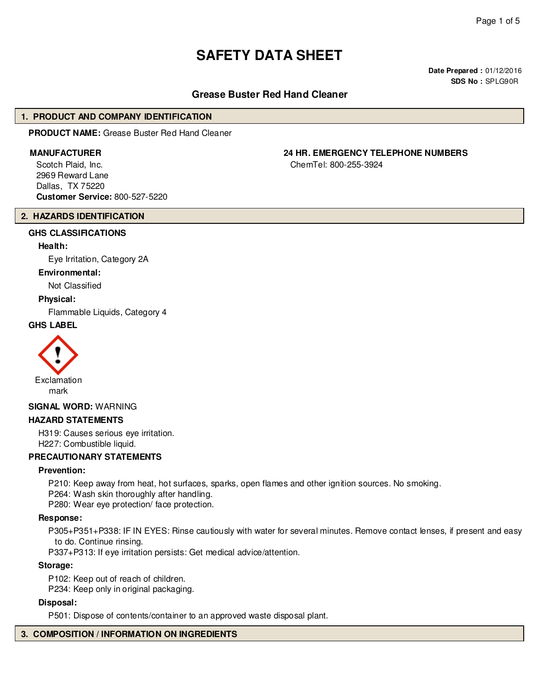# **SAFETY DATA SHEET**

**Date Prepared :** 01/12/2016 **SDS No :** SPLG90R

# **Grease Buster Red Hand Cleaner**

#### **1. PRODUCT AND COMPANY IDENTIFICATION**

**PRODUCT NAME:** Grease Buster Red Hand Cleaner

Scotch Plaid, Inc. 2969 Reward Lane Dallas, TX 75220 **Customer Service:** 800-527-5220

# **2. HAZARDS IDENTIFICATION**

# **GHS CLASSIFICATIONS**

#### **Health:**

Eye Irritation, Category 2A

#### **Environmental:**

Not Classified

#### **Physical:**

Flammable Liquids, Category 4

# **GHS LABEL**



#### **SIGNAL WORD:** WARNING

#### **HAZARD STATEMENTS**

H319: Causes serious eye irritation. H227: Combustible liquid.

#### **PRECAUTIONARY STATEMENTS**

#### **Prevention:**

P210: Keep away from heat, hot surfaces, sparks, open flames and other ignition sources. No smoking.

P264: Wash skin thoroughly after handling.

P280: Wear eye protection/ face protection.

#### **Response:**

P305+P351+P338: IF IN EYES: Rinse cautiously with water for several minutes. Remove contact lenses, if present and easy to do. Continue rinsing.

P337+P313: If eye irritation persists: Get medical advice/attention.

#### **Storage:**

P102: Keep out of reach of children.

P234: Keep only in original packaging.

#### **Disposal:**

P501: Dispose of contents/container to an approved waste disposal plant.

# **3. COMPOSITION / INFORMATION ON INGREDIENTS**

# **MANUFACTURER 24 HR. EMERGENCY TELEPHONE NUMBERS**

ChemTel: 800-255-3924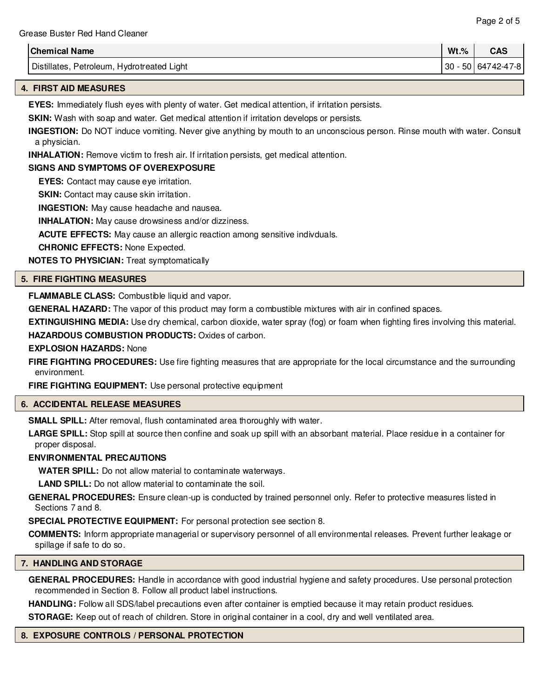| <b>Chemical Name</b>                          | $Wt.\%$ | CAC<br>слэ    |
|-----------------------------------------------|---------|---------------|
| Distillates.<br>Petroleum, Hydrotreated Light | 30      | 50 64742-47-8 |

# **4. FIRST AID MEASURES**

**EYES:** Immediately flush eyes with plenty of water. Get medical attention, if irritation persists.

**SKIN:** Wash with soap and water. Get medical attention if irritation develops or persists.

**INGESTION:** Do NOT induce vomiting. Never give anything by mouth to an unconscious person. Rinse mouth with water. Consult a physician.

**INHALATION:** Remove victim to fresh air. If irritation persists, get medical attention.

# **SIGNS AND SYMPTOMS OF OVEREXPOSURE**

**EYES:** Contact may cause eye irritation.

**SKIN:** Contact may cause skin irritation.

**INGESTION:** May cause headache and nausea.

**INHALATION:** May cause drowsiness and/or dizziness.

**ACUTE EFFECTS:** May cause an allergic reaction among sensitive indivduals.

**CHRONIC EFFECTS:** None Expected.

**NOTES TO PHYSICIAN:** Treat symptomatically

# **5. FIRE FIGHTING MEASURES**

**FLAMMABLE CLASS:** Combustible liquid and vapor.

**GENERAL HAZARD:** The vapor of this product may form a combustible mixtures with air in confined spaces.

**EXTINGUISHING MEDIA:** Use dry chemical, carbon dioxide, water spray (fog) or foam when fighting fires involving this material. **HAZARDOUS COMBUSTION PRODUCTS:** Oxides of carbon.

### **EXPLOSION HAZARDS:** None

**FIRE FIGHTING PROCEDURES:** Use fire fighting measures that are appropriate for the local circumstance and the surrounding environment.

**FIRE FIGHTING EQUIPMENT:** Use personal protective equipment

#### **6. ACCIDENTAL RELEASE MEASURES**

**SMALL SPILL:** After removal, flush contaminated area thoroughly with water.

**LARGE SPILL:** Stop spill at source then confine and soak up spill with an absorbant material. Place residue in a container for proper disposal.

# **ENVIRONMENTAL PRECAUTIONS**

**WATER SPILL:** Do not allow material to contaminate waterways.

**LAND SPILL:** Do not allow material to contaminate the soil.

**GENERAL PROCEDURES:** Ensure clean-up is conducted by trained personnel only. Refer to protective measures listed in Sections 7 and 8.

**SPECIAL PROTECTIVE EQUIPMENT:** For personal protection see section 8.

**COMMENTS:** Inform appropriate managerial or supervisory personnel of all environmental releases. Prevent further leakage or spillage if safe to do so.

#### **7. HANDLING AND STORAGE**

**GENERAL PROCEDURES:** Handle in accordance with good industrial hygiene and safety procedures. Use personal protection recommended in Section 8. Follow all product label instructions.

**HANDLING:** Follow all SDS/label precautions even after container is emptied because it may retain product residues.

**STORAGE:** Keep out of reach of children. Store in original container in a cool, dry and well ventilated area.

# **8. EXPOSURE CONTROLS / PERSONAL PROTECTION**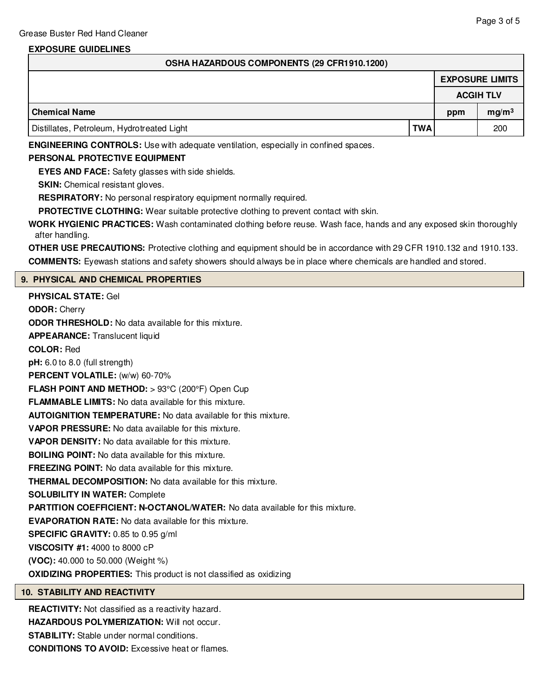# **EXPOSURE GUIDELINES**

| OSHA HAZARDOUS COMPONENTS (29 CFR1910.1200) |  |
|---------------------------------------------|--|
|---------------------------------------------|--|

|                                            |            |                  | <b>EXPOSURE LIMITS</b> |
|--------------------------------------------|------------|------------------|------------------------|
|                                            |            | <b>ACGIH TLV</b> |                        |
| Chemical Name                              |            | ppm              | mg/m <sup>3</sup>      |
| Distillates, Petroleum, Hydrotreated Light | <b>TWA</b> |                  | 200                    |

**ENGINEERING CONTROLS:** Use with adequate ventilation, especially in confined spaces.

#### **PERSONAL PROTECTIVE EQUIPMENT**

**EYES AND FACE:** Safety glasses with side shields.

**SKIN:** Chemical resistant gloves.

**RESPIRATORY:** No personal respiratory equipment normally required.

**PROTECTIVE CLOTHING:** Wear suitable protective clothing to prevent contact with skin.

**WORK HYGIENIC PRACTICES:** Wash contaminated clothing before reuse. Wash face, hands and any exposed skin thoroughly after handling.

**OTHER USE PRECAUTIONS:** Protective clothing and equipment should be in accordance with 29 CFR 1910.132 and 1910.133. **COMMENTS:** Eyewash stations and safety showers should always be in place where chemicals are handled and stored.

# **9. PHYSICAL AND CHEMICAL PROPERTIES**

**PHYSICAL STATE:** Gel **ODOR:** Cherry **ODOR THRESHOLD:** No data available for this mixture. **APPEARANCE:** Translucent liquid **COLOR:** Red **pH:** 6.0 to 8.0 (full strength) **PERCENT VOLATILE:** (w/w) 60-70% **FLASH POINT AND METHOD:** > 93°C (200°F) Open Cup **FLAMMABLE LIMITS:** No data available for this mixture. **AUTOIGNITION TEMPERATURE:** No data available for this mixture. **VAPOR PRESSURE:** No data available for this mixture. **VAPOR DENSITY:** No data available for this mixture. **BOILING POINT:** No data available for this mixture. **FREEZING POINT:** No data available for this mixture. **THERMAL DECOMPOSITION:** No data available for this mixture. **SOLUBILITY IN WATER:** Complete **PARTITION COEFFICIENT: N-OCTANOL/WATER:** No data available for this mixture. **EVAPORATION RATE:** No data available for this mixture. **SPECIFIC GRAVITY:** 0.85 to 0.95 g/ml **VISCOSITY #1:** 4000 to 8000 cP **(VOC):** 40.000 to 50.000 (Weight %) **OXIDIZING PROPERTIES:** This product is not classified as oxidizing

#### **10. STABILITY AND REACTIVITY**

**REACTIVITY:** Not classified as a reactivity hazard.

**HAZARDOUS POLYMERIZATION:** Will not occur.

**STABILITY:** Stable under normal conditions.

**CONDITIONS TO AVOID:** Excessive heat or flames.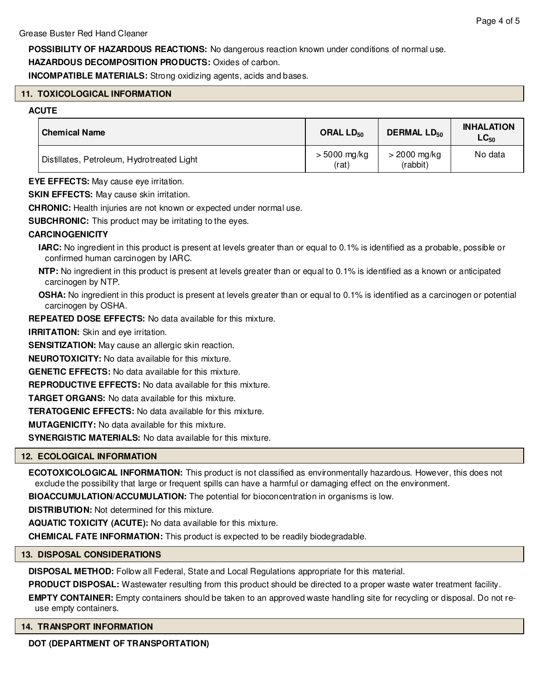**POSSIBILITY OF HAZARDOUS REACTIONS:** No dangerous reaction known under conditions of normal use.

**HAZARDOUS DECOMPOSITION PRODUCTS:** Oxides of carbon.

**INCOMPATIBLE MATERIALS:** Strong oxidizing agents, acids and bases.

# **11. TOXICOLOGICAL INFORMATION**

#### **ACUTE**

| <b>Chemical Name</b>                       | ORAL LD <sub>50</sub>   | <b>DERMAL LD<sub>50</sub></b> | <b>INHALATION</b><br>$LC_{50}$ |
|--------------------------------------------|-------------------------|-------------------------------|--------------------------------|
| Distillates, Petroleum, Hydrotreated Light | $> 5000$ mg/kg<br>(rat) | $>$ 2000 mg/kg<br>(rabbit)    | No data                        |

**EYE EFFECTS:** May cause eye irritation.

**SKIN EFFECTS:** May cause skin irritation.

**CHRONIC:** Health injuries are not known or expected under normal use.

**SUBCHRONIC:** This product may be irritating to the eyes.

# **CARCINOGENICITY**

**IARC:** No ingredient in this product is present at levels greater than or equal to 0.1% is identified as a probable, possible or confirmed human carcinogen by IARC.

**NTP:** No ingredient in this product is present at levels greater than or equal to 0.1% is identified as a known or anticipated carcinogen by NTP.

**OSHA:** No ingredient in this product is present at levels greater than or equal to 0.1% is identified as a carcinogen or potential carcinogen by OSHA.

**REPEATED DOSE EFFECTS:** No data available for this mixture.

**IRRITATION:** Skin and eye irritation.

**SENSITIZATION:** May cause an allergic skin reaction.

**NEUROTOXICITY:** No data available for this mixture.

**GENETIC EFFECTS:** No data available for this mixture.

**REPRODUCTIVE EFFECTS:** No data available for this mixture.

**TARGET ORGANS:** No data available for this mixture.

**TERATOGENIC EFFECTS:** No data available for this mixture.

**MUTAGENICITY:** No data available for this mixture.

**SYNERGISTIC MATERIALS:** No data available for this mixture.

# **12. ECOLOGICAL INFORMATION**

**ECOTOXICOLOGICAL INFORMATION:** This product is not classified as environmentally hazardous. However, this does not exclude the possibility that large or frequent spills can have a harmful or damaging effect on the environment.

**BIOACCUMULATION/ACCUMULATION:** The potential for bioconcentration in organisms is low.

**DISTRIBUTION:** Not determined for this mixture.

**AQUATIC TOXICITY (ACUTE):** No data available for this mixture.

**CHEMICAL FATE INFORMATION:** This product is expected to be readily biodegradable.

#### **13. DISPOSAL CONSIDERATIONS**

**DISPOSAL METHOD:** Follow all Federal, State and Local Regulations appropriate for this material.

**PRODUCT DISPOSAL:** Wastewater resulting from this product should be directed to a proper waste water treatment facility.

**EMPTY CONTAINER:** Empty containers should be taken to an approved waste handling site for recycling or disposal. Do not reuse empty containers.

#### **14. TRANSPORT INFORMATION**

**DOT (DEPARTMENT OF TRANSPORTATION)**